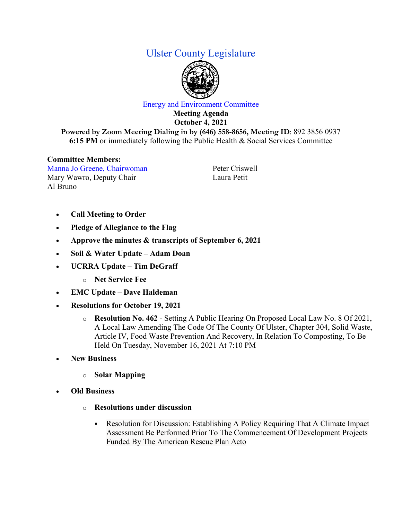## Ulster County Legislature



## Energy and Environment Committee

**Meeting Agenda October 4, 2021 Powered by Zoom Meeting Dialing in by (646) 558-8656, Meeting ID**: 892 3856 0937

**6:15 PM** or immediately following the Public Health & Social Services Committee

## **Committee Members:**

Manna Jo Greene, Chairwoman Mary Wawro, Deputy Chair Al Bruno

Peter Criswell Laura Petit

- **Call Meeting to Order**
- **Pledge of Allegiance to the Flag**
- **Approve the minutes & transcripts of September 6, 2021**
- **Soil & Water Update – Adam Doan**
- **UCRRA Update – Tim DeGraff**
	- o **Net Service Fee**
- **EMC Update – Dave Haldeman**
- **Resolutions for October 19, 2021**
	- o **Resolution No. 462** Setting A Public Hearing On Proposed Local Law No. 8 Of 2021, A Local Law Amending The Code Of The County Of Ulster, Chapter 304, Solid Waste, Article IV, Food Waste Prevention And Recovery, In Relation To Composting, To Be Held On Tuesday, November 16, 2021 At 7:10 PM
- **New Business**
	- o **Solar Mapping**
- **Old Business**
	- o **Resolutions under discussion**
		- Resolution for Discussion: Establishing A Policy Requiring That A Climate Impact Assessment Be Performed Prior To The Commencement Of Development Projects Funded By The American Rescue Plan Acto